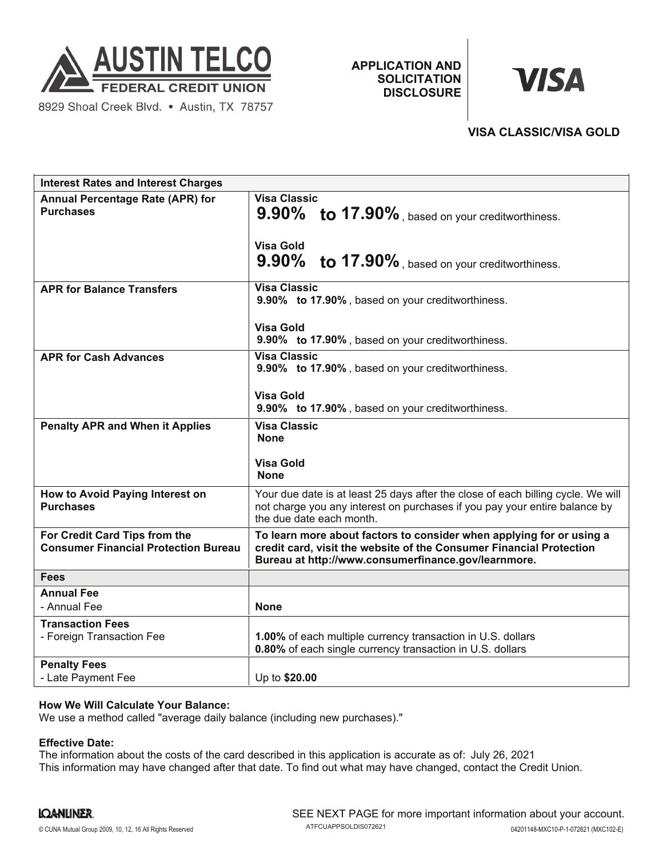

8929 Shoal Creek Blvd. . Austin, TX 78757

**APPLICATION AND SOLICITATION DISCLOSURE**

# **VISA**

# **VISA CLASSIC/VISA GOLD**

| <b>Interest Rates and Interest Charges</b>                                   |                                                                                                                                                                                                    |
|------------------------------------------------------------------------------|----------------------------------------------------------------------------------------------------------------------------------------------------------------------------------------------------|
| Annual Percentage Rate (APR) for<br><b>Purchases</b>                         | <b>Visa Classic</b><br>9.90% to 17.90%, based on your creditworthiness.<br><b>Visa Gold</b><br>9.90% to 17.90%, based on your creditworthiness.                                                    |
| <b>APR for Balance Transfers</b>                                             | <b>Visa Classic</b><br>9.90% to 17.90%, based on your creditworthiness.<br><b>Visa Gold</b><br>9.90% to 17.90%, based on your creditworthiness.                                                    |
| <b>APR for Cash Advances</b>                                                 | <b>Visa Classic</b><br>9.90% to 17.90%, based on your creditworthiness.<br><b>Visa Gold</b><br>9.90% to 17.90%, based on your creditworthiness.                                                    |
| <b>Penalty APR and When it Applies</b>                                       | <b>Visa Classic</b><br><b>None</b><br><b>Visa Gold</b><br><b>None</b>                                                                                                                              |
| How to Avoid Paying Interest on<br><b>Purchases</b>                          | Your due date is at least 25 days after the close of each billing cycle. We will<br>not charge you any interest on purchases if you pay your entire balance by<br>the due date each month.         |
| For Credit Card Tips from the<br><b>Consumer Financial Protection Bureau</b> | To learn more about factors to consider when applying for or using a<br>credit card, visit the website of the Consumer Financial Protection<br>Bureau at http://www.consumerfinance.gov/learnmore. |
| <b>Fees</b>                                                                  |                                                                                                                                                                                                    |
| <b>Annual Fee</b><br>- Annual Fee                                            | <b>None</b>                                                                                                                                                                                        |
| <b>Transaction Fees</b><br>- Foreign Transaction Fee                         | 1.00% of each multiple currency transaction in U.S. dollars<br>0.80% of each single currency transaction in U.S. dollars                                                                           |
| <b>Penalty Fees</b><br>- Late Payment Fee                                    | Up to \$20.00                                                                                                                                                                                      |

## **How We Will Calculate Your Balance:**

We use a method called "average daily balance (including new purchases)."

#### **Effective Date:**

The information about the costs of the card described in this application is accurate as of: July 26, 2021This information may have changed after that date. To find out what may have changed, contact the Credit Union.